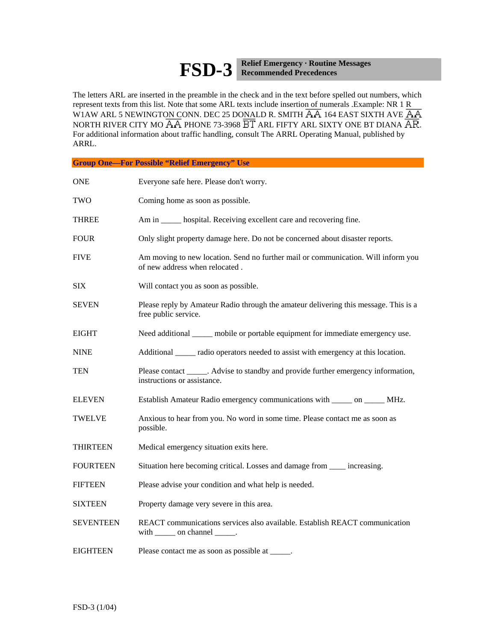## **FSD-3 Relief Emergency · Routine Messages Recommended Precedences**

The letters ARL are inserted in the preamble in the check and in the text before spelled out numbers, which represent texts from this list. Note that some ARL texts include insertion of numerals .Example: NR 1 R W1AW ARL 5 NEWINGTON CONN. DEC 25 DONALD R. SMITH 164 EAST SIXTH AVE NORTH RIVER CITY MO  $\mathbb{A}\mathbb{A}$  phone 73-3968  $\mathbb{B}\mathbb{T}$  arl fifty arl sixty one bt diana  $\mathbb{A}\mathbb{R}.$ For additional information about traffic handling, consult The ARRL Operating Manual, published by ARRL.

|                  | <b>Group One-For Possible "Relief Emergency" Use</b>                                                                |
|------------------|---------------------------------------------------------------------------------------------------------------------|
| <b>ONE</b>       | Everyone safe here. Please don't worry.                                                                             |
| <b>TWO</b>       | Coming home as soon as possible.                                                                                    |
| <b>THREE</b>     | Am in _____ hospital. Receiving excellent care and recovering fine.                                                 |
| <b>FOUR</b>      | Only slight property damage here. Do not be concerned about disaster reports.                                       |
| <b>FIVE</b>      | Am moving to new location. Send no further mail or communication. Will inform you<br>of new address when relocated. |
| <b>SIX</b>       | Will contact you as soon as possible.                                                                               |
| <b>SEVEN</b>     | Please reply by Amateur Radio through the amateur delivering this message. This is a<br>free public service.        |
| <b>EIGHT</b>     | Need additional _____ mobile or portable equipment for immediate emergency use.                                     |
| <b>NINE</b>      | Additional ______ radio operators needed to assist with emergency at this location.                                 |
| <b>TEN</b>       | Please contact ______. Advise to standby and provide further emergency information,<br>instructions or assistance.  |
| <b>ELEVEN</b>    | Establish Amateur Radio emergency communications with ______ on _____ MHz.                                          |
| <b>TWELVE</b>    | Anxious to hear from you. No word in some time. Please contact me as soon as<br>possible.                           |
| <b>THIRTEEN</b>  | Medical emergency situation exits here.                                                                             |
| <b>FOURTEEN</b>  | Situation here becoming critical. Losses and damage from _____ increasing.                                          |
| <b>FIFTEEN</b>   | Please advise your condition and what help is needed.                                                               |
| <b>SIXTEEN</b>   | Property damage very severe in this area.                                                                           |
| <b>SEVENTEEN</b> | REACT communications services also available. Establish REACT communication<br>with _______ on channel ______.      |
| <b>EIGHTEEN</b>  | Please contact me as soon as possible at _____.                                                                     |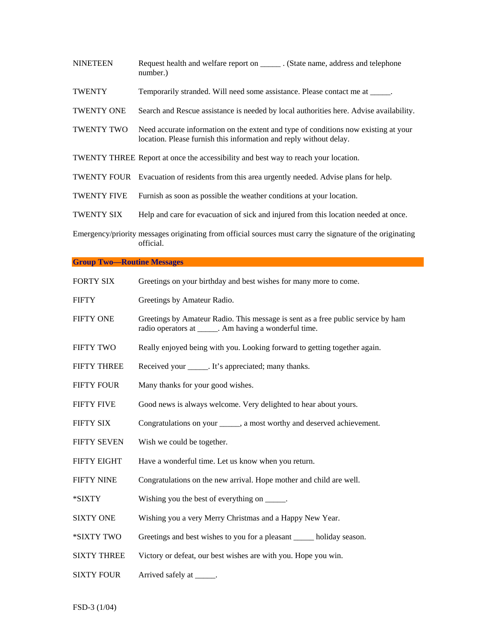| <b>NINETEEN</b>                   | Request health and welfare report on _______. (State name, address and telephone<br>number.)                                                              |
|-----------------------------------|-----------------------------------------------------------------------------------------------------------------------------------------------------------|
| <b>TWENTY</b>                     | Temporarily stranded. Will need some assistance. Please contact me at _____.                                                                              |
| <b>TWENTY ONE</b>                 | Search and Rescue assistance is needed by local authorities here. Advise availability.                                                                    |
| TWENTY TWO                        | Need accurate information on the extent and type of conditions now existing at your<br>location. Please furnish this information and reply without delay. |
|                                   | TWENTY THREE Report at once the accessibility and best way to reach your location.                                                                        |
|                                   | TWENTY FOUR Evacuation of residents from this area urgently needed. Advise plans for help.                                                                |
| <b>TWENTY FIVE</b>                | Furnish as soon as possible the weather conditions at your location.                                                                                      |
| <b>TWENTY SIX</b>                 | Help and care for evacuation of sick and injured from this location needed at once.                                                                       |
|                                   | Emergency/priority messages originating from official sources must carry the signature of the originating<br>official.                                    |
| <b>Group Two-Routine Messages</b> |                                                                                                                                                           |
| <b>FORTY SIX</b>                  | Greetings on your birthday and best wishes for many more to come.                                                                                         |
| <b>FIFTY</b>                      | Greetings by Amateur Radio.                                                                                                                               |
| <b>FIFTY ONE</b>                  | Greetings by Amateur Radio. This message is sent as a free public service by ham<br>radio operators at ______. Am having a wonderful time.                |
|                                   |                                                                                                                                                           |

- FIFTY TWO Really enjoyed being with you. Looking forward to getting together again.
- FIFTY THREE Received your \_\_\_\_\_. It's appreciated; many thanks.
- FIFTY FOUR Many thanks for your good wishes.
- FIFTY FIVE Good news is always welcome. Very delighted to hear about yours.

FIFTY SIX Congratulations on your \_\_\_\_\_, a most worthy and deserved achievement.

- FIFTY SEVEN Wish we could be together.
- FIFTY EIGHT Have a wonderful time. Let us know when you return.
- FIFTY NINE Congratulations on the new arrival. Hope mother and child are well.
- \*SIXTY Wishing you the best of everything on \_\_\_\_\_.
- SIXTY ONE Wishing you a very Merry Christmas and a Happy New Year.
- \*SIXTY TWO Greetings and best wishes to you for a pleasant \_\_\_\_\_ holiday season.
- SIXTY THREE Victory or defeat, our best wishes are with you. Hope you win.
- SIXTY FOUR Arrived safely at \_\_\_\_\_.